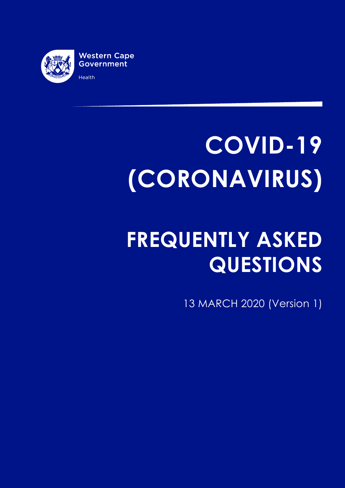

# **COVID-19 (CORONAVIRUS)**

# **FREQUENTLY ASKED QUESTIONS**

13 MARCH 2020 (Version 1)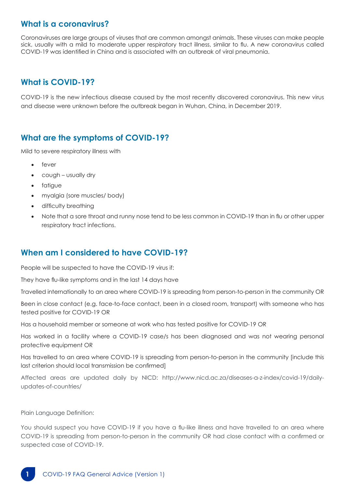#### **What is a coronavirus?**

Coronaviruses are large groups of viruses that are common amongst animals. These viruses can make people sick, usually with a mild to moderate upper respiratory tract illness, similar to flu. A new coronavirus called COVID-19 was identified in China and is associated with an outbreak of viral pneumonia.

# **What is COVID-19?**

COVID-19 is the new infectious disease caused by the most recently discovered coronavirus. This new virus and disease were unknown before the outbreak began in Wuhan, China, in December 2019.

#### **What are the symptoms of COVID-19?**

Mild to severe respiratory illness with

- fever
- cough usually dry
- fatiaue
- myalgia (sore muscles/ body)
- difficulty breathing
- Note that a sore throat and runny nose tend to be less common in COVID-19 than in flu or other upper respiratory tract infections.

#### **When am I considered to have COVID-19?**

People will be suspected to have the COVID-19 virus if:

They have flu-like symptoms and in the last 14 days have

Travelled internationally to an area where COVID-19 is spreading from person-to-person in the community OR

Been in close contact (e.g. face-to-face contact, been in a closed room, transport) with someone who has tested positive for COVID-19 OR

Has a household member or someone at work who has tested positive for COVID-19 OR

Has worked in a facility where a COVID-19 case/s has been diagnosed and was not wearing personal protective equipment OR

Has travelled to an area where COVID-19 is spreading from person-to-person in the community [include this last criterion should local transmission be confirmed]

Affected areas are updated daily by NICD: http://www.nicd.ac.za/diseases-a-z-index/covid-19/dailyupdates-of-countries/

Plain Language Definition:

You should suspect you have COVID-19 if you have a flu-like illness and have travelled to an area where COVID-19 is spreading from person-to-person in the community OR had close contact with a confirmed or suspected case of COVID-19.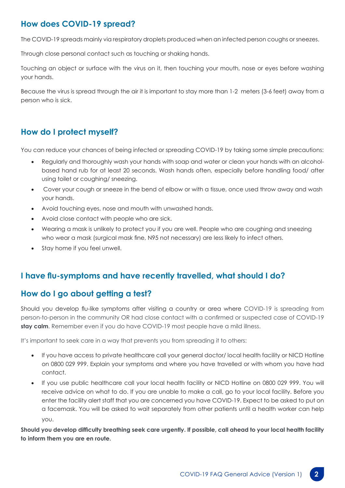# **How does COVID-19 spread?**

The COVID-19 spreads mainly via respiratory droplets produced when an infected person coughs or sneezes.

Through close personal contact such as touching or shaking hands.

Touching an object or surface with the virus on it, then touching your mouth, nose or eyes before washing your hands.

Because the virus is spread through the air it is important to stay more than 1-2 meters (3-6 feet) away from a person who is sick.

# **How do I protect myself?**

You can reduce your chances of being infected or spreading COVID-19 by taking some simple precautions:

- Regularly and thoroughly wash your hands with soap and water or clean your hands with an alcoholbased hand rub for at least 20 seconds. Wash hands often, especially before handling food/ after using toilet or coughing/ sneezing.
- Cover your cough or sneeze in the bend of elbow or with a tissue, once used throw away and wash your hands.
- Avoid touching eyes, nose and mouth with unwashed hands.
- • Avoid close contact with people who are sick.
- Wearing a mask is unlikely to protect you if you are well. People who are coughing and sneezing who wear a mask (surgical mask fine, N95 not necessary) are less likely to infect others.
- Stay home if you feel unwell.

#### **I have flu-symptoms and have recently travelled, what should I do?**

#### **How do I go about getting a test?**

Should you develop flu-like symptoms after visiting a country or area where COVID-19 is spreading from person-to-person in the community OR had close contact with a confirmed or suspected case of COVID-19 **stay calm**. Remember even if you do have COVID-19 most people have a mild illness.

It's important to seek care in a way that prevents you from spreading it to others:

- If you have access to private healthcare call your general doctor/ local health facility or NICD Hotline on 0800 029 999. Explain your symptoms and where you have travelled or with whom you have had contact.
- If you use public healthcare call your local health facility or NICD Hotline on 0800 029 999. You will receive advice on what to do. If you are unable to make a call, go to your local facility. Before you enter the facility alert staff that you are concerned you have COVID-19. Expect to be asked to put on a facemask. You will be asked to wait separately from other patients until a health worker can help you.

**Should you develop difficulty breathing seek care urgently. If possible, call ahead to your local health facility to inform them you are en route.**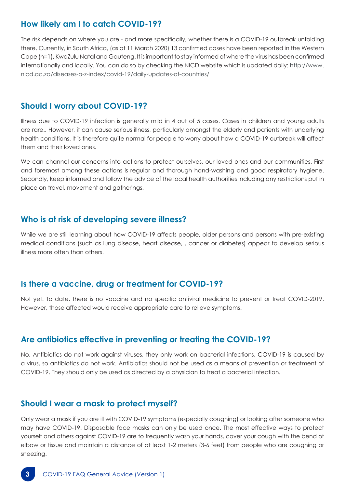#### **How likely am I to catch COVID-19?**

The risk depends on where you are - and more specifically, whether there is a COVID-19 outbreak unfolding there. Currently, in South Africa, (as at 11 March 2020) 13 confirmed cases have been reported in the Western Cape (n=1), KwaZulu Natal and Gauteng. It is important to stay informed of where the virus has been confirmed internationally and locally. You can do so by checking the NICD website which is updated daily: http://www. nicd.ac.za/diseases-a-z-index/covid-19/daily-updates-of-countries/

#### **Should I worry about COVID-19?**

Illness due to COVID-19 infection is generally mild in 4 out of 5 cases. Cases in children and young adults are rare.. However, it can cause serious illness, particularly amongst the elderly and patients with underlying health conditions. It is therefore quite normal for people to worry about how a COVID-19 outbreak will affect them and their loved ones.

We can channel our concerns into actions to protect ourselves, our loved ones and our communities. First and foremost among these actions is regular and thorough hand-washing and good respiratory hygiene. Secondly, keep informed and follow the advice of the local health authorities including any restrictions put in place on travel, movement and gatherings.

#### **Who is at risk of developing severe illness?**

While we are still learning about how COVID-19 affects people, older persons and persons with pre-existing medical conditions (such as lung disease, heart disease, , cancer or diabetes) appear to develop serious illness more often than others.

#### **Is there a vaccine, drug or treatment for COVID-19?**

Not yet. To date, there is no vaccine and no specific antiviral medicine to prevent or treat COVID-2019. However, those affected would receive appropriate care to relieve symptoms.

#### **Are antibiotics effective in preventing or treating the COVID-19?**

No. Antibiotics do not work against viruses, they only work on bacterial infections. COVID-19 is caused by a virus, so antibiotics do not work. Antibiotics should not be used as a means of prevention or treatment of COVID-19. They should only be used as directed by a physician to treat a bacterial infection.

#### **Should I wear a mask to protect myself?**

Only wear a mask if you are ill with COVID-19 symptoms (especially coughing) or looking after someone who may have COVID-19. Disposable face masks can only be used once. The most effective ways to protect yourself and others against COVID-19 are to frequently wash your hands, cover your cough with the bend of elbow or tissue and maintain a distance of at least 1-2 meters (3-6 feet) from people who are coughing or sneezing.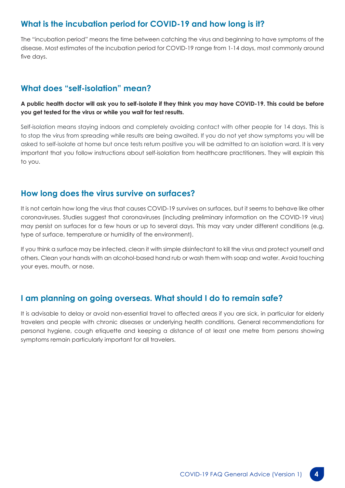# **What is the incubation period for COVID-19 and how long is it?**

The "incubation period" means the time between catching the virus and beginning to have symptoms of the disease. Most estimates of the incubation period for COVID-19 range from 1-14 days, most commonly around five days.

# **What does "self-isolation" mean?**

**A public health doctor will ask you to self-isolate if they think you may have COVID-19. This could be before you get tested for the virus or while you wait for test results.** 

Self-isolation means staying indoors and completely avoiding contact with other people for 14 days. This is to stop the virus from spreading while results are being awaited. If you do not yet show symptoms you will be asked to self-isolate at home but once tests return positive you will be admitted to an isolation ward. It is very important that you follow instructions about self-isolation from healthcare practitioners. They will explain this to you.

#### **How long does the virus survive on surfaces?**

It is not certain how long the virus that causes COVID-19 survives on surfaces, but it seems to behave like other coronaviruses. Studies suggest that coronaviruses (including preliminary information on the COVID-19 virus) may persist on surfaces for a few hours or up to several days. This may vary under different conditions (e.g. type of surface, temperature or humidity of the environment).

If you think a surface may be infected, clean it with simple disinfectant to kill the virus and protect yourself and others. Clean your hands with an alcohol-based hand rub or wash them with soap and water. Avoid touching your eyes, mouth, or nose.

#### **I am planning on going overseas. What should I do to remain safe?**

It is advisable to delay or avoid non-essential travel to affected areas if you are sick, in particular for elderly travelers and people with chronic diseases or underlying health conditions. General recommendations for personal hygiene, cough etiquette and keeping a distance of at least one metre from persons showing symptoms remain particularly important for all travelers.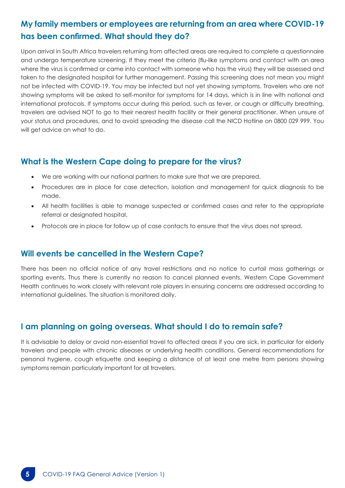# **My family members or employees are returning from an area where COVID-19 has been confirmed. What should they do?**

Upon arrival in South Africa travelers returning from affected areas are required to complete a questionnaire and undergo temperature screening. If they meet the criteria (flu-like symptoms and contact with an area where the virus is confirmed or came into contact with someone who has the virus) they will be assessed and taken to the designated hospital for further management. Passing this screening does not mean you might not be infected with COVID-19. You may be infected but not yet showing symptoms. Travelers who are not showing symptoms will be asked to self-monitor for symptoms for 14 days, which is in line with national and international protocols. If symptoms occur during this period, such as fever, or cough or difficulty breathing, travelers are advised NOT to go to their nearest health facility or their general practitioner. When unsure of your status and procedures, and to avoid spreading the disease call the NICD Hotline on 0800 029 999. You will get advice on what to do.

#### **What is the Western Cape doing to prepare for the virus?**

- We are working with our national partners to make sure that we are prepared.
- Procedures are in place for case detection, isolation and management for quick diagnosis to be made.
- All health facilities is able to manage suspected or confirmed cases and refer to the appropriate referral or designated hospital.
- Protocols are in place for follow up of case contacts to ensure that the virus does not spread.

#### **Will events be cancelled in the Western Cape?**

There has been no official notice of any travel restrictions and no notice to curtail mass gatherings or sporting events. Thus there is currently no reason to cancel planned events. Western Cape Government Health continues to work closely with relevant role players in ensuring concerns are addressed according to international guidelines. The situation is monitored daily.

#### **I am planning on going overseas. What should I do to remain safe?**

It is advisable to delay or avoid non-essential travel to affected areas if you are sick, in particular for elderly travelers and people with chronic diseases or underlying health conditions. General recommendations for personal hygiene, cough etiquette and keeping a distance of at least one metre from persons showing symptoms remain particularly important for all travelers.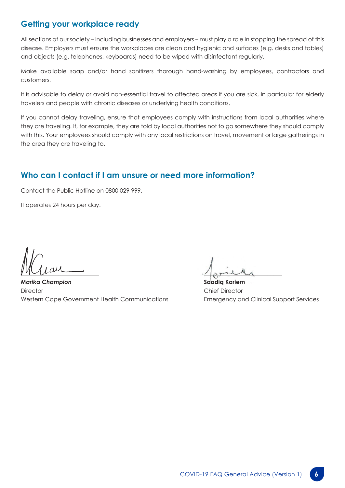#### **Getting your workplace ready**

All sections of our society – including businesses and employers – must play a role in stopping the spread of this disease. Employers must ensure the workplaces are clean and hygienic and surfaces (e.g. desks and tables) and objects (e.g. telephones, keyboards) need to be wiped with disinfectant regularly.

Make available soap and/or hand sanitizers thorough hand-washing by employees, contractors and customers.

It is advisable to delay or avoid non-essential travel to affected areas if you are sick, in particular for elderly travelers and people with chronic diseases or underlying health conditions.

If you cannot delay traveling, ensure that employees comply with instructions from local authorities where they are traveling. If, for example, they are told by local authorities not to go somewhere they should comply with this. Your employees should comply with any local restrictions on travel, movement or large gatherings in the area they are traveling to.

# **Who can I contact if I am unsure or need more information?**

Contact the Public Hotline on 0800 029 999.

It operates 24 hours per day.

 $\frac{1}{2}$ 

*Marika Champion*  **Director** Western Cape Government Health Communications

 $\frac{1}{2}$ 

**Saadiq Kariem**  Chief Director Emergency and Clinical Support Services